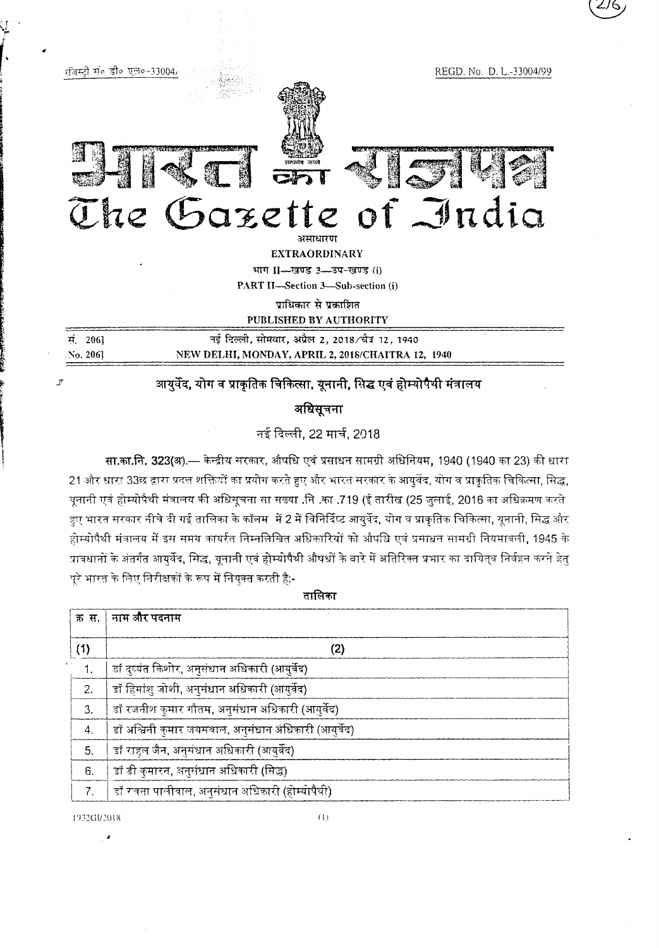REGD, No. D. L.-33004/99



रजिस्टी संब डीव एल०-33004,

 $-20$ 

## The Gazette of India

**EXTRAORDINARY** 

भाग II-खण्ड 3-3प-खण्ड (i)

PART II-Section 3-Sub-section (i)

प्राधिकार से प्रकाशित

PUBLISHED BY AUTHORITY

|  | मं 2061  | नई दिल्ली, सोमवार, अप्रैल 2, 2018∕चैत्र 12, 1940  |  |  |  |  |  |
|--|----------|---------------------------------------------------|--|--|--|--|--|
|  | No. 2061 | NEW DELHI, MONDAY, APRIL 2, 2018/CHAITRA 12, 1940 |  |  |  |  |  |
|  |          |                                                   |  |  |  |  |  |

## आयुर्वेद, योग व प्राकृतिक चिकित्सा, यूनानी, सिद्ध एवं होम्योपैथी संत्रालय

अधिसूचना

नई दिल्ली, 22 मार्च, 2018

सा.का.नि. 323(अ).— केन्द्रीय सरकार, औषधि एवं प्रसाधन सामग्री अधिनियम, 1940 (1940 का 23) की धारा 21 और धारा 33छ द्वारा प्रदत्त शक्तियों का प्रयोग करते हुए और भारत सरकार के आयुर्वेद, योग व प्राकृतिक चिकित्सा, सिद्ध, यूनानी एवं होम्योपैथी मंत्रालय की अधिसूचना सा सख्या .नि .का .719 (ई तारीख (25 जुलाई, 2016 का अधिक्रमण करते हुए भारत सरकार नीचे दी गई तालिका के कॉलम में 2 में विनिर्दिप्ट आयुर्वेद, योग व प्राकृतिक चिकित्सा, यूनानी, सिद्ध और होम्योपैथी मंत्रालय में इस समय कार्यरत निम्नलिखित अधिकारियों को औपधि एवं प्रसाधन सामग्री नियमावली, 1945 के प्रावधानों के अंतर्गत आयर्वेद, सिद्ध, यूनानी एवं होम्योपैथी औषधों के बारे में अतिरिक्त प्रभार का दायित्व निर्वहन करने हेतु पूरे भारत के लिए निरीक्षकों के रूप में नियुक्त करती है:-

|  | e. |  |
|--|----|--|
|  |    |  |

| क स.             | नाम और पदनाम                                         |
|------------------|------------------------------------------------------|
| (1)              | (2)                                                  |
|                  | डॉ दुष्यंत किशोर, अनुसंधान अधिकारी (आयुर्वेद)        |
| 2.               | डॉ हिमांशु जोशी, अनुसंधान अधिकारी (आयुर्वेद)         |
| 3.               | डॉ रजनीश कुमार गौतम, अनुसंधान अधिकारी (आयुर्वेद)     |
| $\overline{4}$ , | डॉ अश्विनी कुमार जयसवाल, अनुसंधान अधिकारी (आयुर्वेद) |
| 5.               | डॉ राहल जैन, अनुसंधान अधिकारी (आयुर्वेद)             |
| 6.               | डॉ डी कुमारन, अनुसंधान अधिकारी (सिद्ध)               |
| 7 <sub>1</sub>   | ंडॉ रचना पालीवाल, अनुसंधान अधिकारी (होम्योपैथी)      |

1932GI/2018

 $\bar{a}$